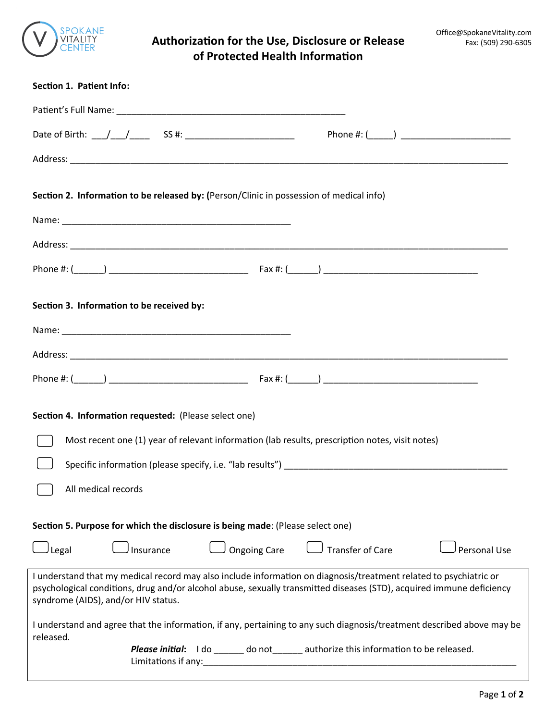

## **Authorization for the Use, Disclosure or Release of Protected Health Information**

| Section 1. Patient Info:                                                                                                                                                                                                                                                         |                                                                      |
|----------------------------------------------------------------------------------------------------------------------------------------------------------------------------------------------------------------------------------------------------------------------------------|----------------------------------------------------------------------|
|                                                                                                                                                                                                                                                                                  |                                                                      |
|                                                                                                                                                                                                                                                                                  |                                                                      |
|                                                                                                                                                                                                                                                                                  |                                                                      |
| Section 2. Information to be released by: (Person/Clinic in possession of medical info)                                                                                                                                                                                          |                                                                      |
|                                                                                                                                                                                                                                                                                  |                                                                      |
|                                                                                                                                                                                                                                                                                  |                                                                      |
|                                                                                                                                                                                                                                                                                  |                                                                      |
| Section 3. Information to be received by:                                                                                                                                                                                                                                        |                                                                      |
|                                                                                                                                                                                                                                                                                  |                                                                      |
|                                                                                                                                                                                                                                                                                  |                                                                      |
|                                                                                                                                                                                                                                                                                  |                                                                      |
| Section 4. Information requested: (Please select one)                                                                                                                                                                                                                            |                                                                      |
| Most recent one (1) year of relevant information (lab results, prescription notes, visit notes)                                                                                                                                                                                  |                                                                      |
|                                                                                                                                                                                                                                                                                  |                                                                      |
| All medical records                                                                                                                                                                                                                                                              |                                                                      |
| Section 5. Purpose for which the disclosure is being made: (Please select one)                                                                                                                                                                                                   |                                                                      |
| Legal<br><b>Ongoing Care</b><br>Insurance                                                                                                                                                                                                                                        | <b>Transfer of Care</b><br><b>Personal Use</b>                       |
| I understand that my medical record may also include information on diagnosis/treatment related to psychiatric or<br>psychological conditions, drug and/or alcohol abuse, sexually transmitted diseases (STD), acquired immune deficiency<br>syndrome (AIDS), and/or HIV status. |                                                                      |
| I understand and agree that the information, if any, pertaining to any such diagnosis/treatment described above may be<br>released.                                                                                                                                              |                                                                      |
| Please initial:<br>Limitations if any:                                                                                                                                                                                                                                           | I do ______ do not ______ authorize this information to be released. |